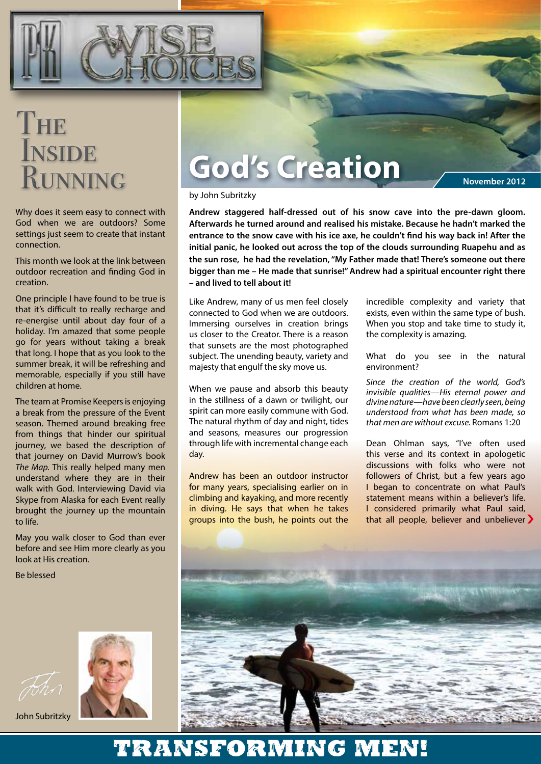

## THE **INSIDE** RUNNING

Why does it seem easy to connect with God when we are outdoors? Some settings just seem to create that instant connection.

This month we look at the link between outdoor recreation and finding God in creation.

One principle I have found to be true is that it's difficult to really recharge and re-energise until about day four of a holiday. I'm amazed that some people go for years without taking a break that long. I hope that as you look to the summer break, it will be refreshing and memorable, especially if you still have children at home.

The team at Promise Keepers is enjoying a break from the pressure of the Event season. Themed around breaking free from things that hinder our spiritual journey, we based the description of that journey on David Murrow's book *The Map.* This really helped many men understand where they are in their walk with God. Interviewing David via Skype from Alaska for each Event really brought the journey up the mountain to life.

May you walk closer to God than ever before and see Him more clearly as you look at His creation.

Be blessed



John Subritzky

# **God's Creation**

**November 2012**

#### by John Subritzky

**Andrew staggered half-dressed out of his snow cave into the pre-dawn gloom. Afterwards he turned around and realised his mistake. Because he hadn't marked the entrance to the snow cave with his ice axe, he couldn't find his way back in! After the initial panic, he looked out across the top of the clouds surrounding Ruapehu and as the sun rose, he had the revelation, "My Father made that! There's someone out there bigger than me – He made that sunrise!" Andrew had a spiritual encounter right there – and lived to tell about it!**

Like Andrew, many of us men feel closely connected to God when we are outdoors. Immersing ourselves in creation brings us closer to the Creator. There is a reason that sunsets are the most photographed subject. The unending beauty, variety and majesty that engulf the sky move us.

When we pause and absorb this beauty in the stillness of a dawn or twilight, our spirit can more easily commune with God. The natural rhythm of day and night, tides and seasons, measures our progression through life with incremental change each day.

Andrew has been an outdoor instructor for many years, specialising earlier on in climbing and kayaking, and more recently in diving. He says that when he takes groups into the bush, he points out the incredible complexity and variety that exists, even within the same type of bush. When you stop and take time to study it, the complexity is amazing.

What do you see in the natural environment?

*Since the creation of the world, God's invisible qualities—His eternal power and divine nature—have been clearly seen, being understood from what has been made, so that men are without excuse.* Romans 1:20

Dean Ohlman says, "I've often used this verse and its context in apologetic discussions with folks who were not followers of Christ, but a few years ago I began to concentrate on what Paul's statement means within a believer's life. I considered primarily what Paul said, that all people, believer and unbeliever >



### Transforming men!